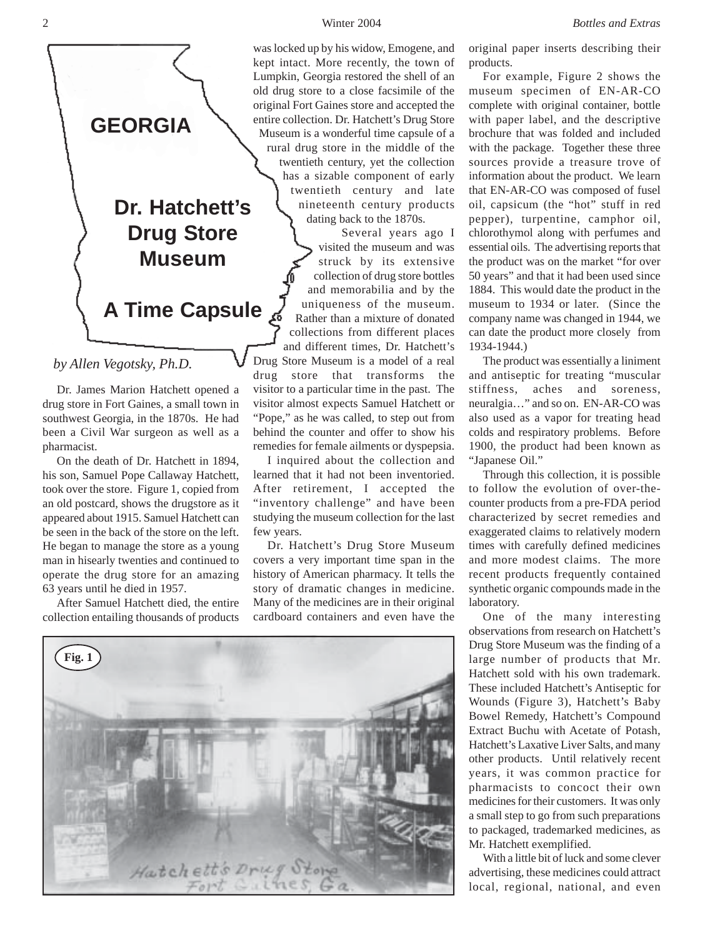was locked up by his widow, Emogene, and kept intact. More recently, the town of Lumpkin, Georgia restored the shell of an old drug store to a close facsimile of the original Fort Gaines store and accepted the entire collection. Dr. Hatchett's Drug Store Museum is a wonderful time capsule of a rural drug store in the middle of the twentieth century, yet the collection has a sizable component of early twentieth century and late nineteenth century products dating back to the 1870s.

 Several years ago I visited the museum and was struck by its extensive collection of drug store bottles and memorabilia and by the uniqueness of the museum. Rather than a mixture of donated collections from different places and different times, Dr. Hatchett's Drug Store Museum is a model of a real drug store that transforms the visitor to a particular time in the past. The visitor almost expects Samuel Hatchett or "Pope," as he was called, to step out from behind the counter and offer to show his remedies for female ailments or dyspepsia. I inquired about the collection and learned that it had not been inventoried. After retirement, I accepted the "inventory challenge" and have been studying the museum collection for the last original paper inserts describing their products.

For example, Figure 2 shows the museum specimen of EN-AR-CO complete with original container, bottle with paper label, and the descriptive brochure that was folded and included with the package. Together these three sources provide a treasure trove of information about the product. We learn that EN-AR-CO was composed of fusel oil, capsicum (the "hot" stuff in red pepper), turpentine, camphor oil, chlorothymol along with perfumes and essential oils. The advertising reports that the product was on the market "for over 50 years" and that it had been used since 1884. This would date the product in the museum to 1934 or later. (Since the company name was changed in 1944, we can date the product more closely from 1934-1944.)

The product was essentially a liniment and antiseptic for treating "muscular stiffness, aches and soreness, neuralgia…" and so on. EN-AR-CO was also used as a vapor for treating head colds and respiratory problems. Before 1900, the product had been known as "Japanese Oil."

Through this collection, it is possible to follow the evolution of over-thecounter products from a pre-FDA period characterized by secret remedies and exaggerated claims to relatively modern times with carefully defined medicines and more modest claims. The more recent products frequently contained synthetic organic compounds made in the laboratory.

One of the many interesting observations from research on Hatchett's Drug Store Museum was the finding of a large number of products that Mr. Hatchett sold with his own trademark. These included Hatchett's Antiseptic for Wounds (Figure 3), Hatchett's Baby Bowel Remedy, Hatchett's Compound Extract Buchu with Acetate of Potash, Hatchett's Laxative Liver Salts, and many other products. Until relatively recent years, it was common practice for pharmacists to concoct their own medicines for their customers. It was only a small step to go from such preparations to packaged, trademarked medicines, as Mr. Hatchett exemplified.

With a little bit of luck and some clever advertising, these medicines could attract local, regional, national, and even

**GEORGIA**

# **Dr. Hatchett's Drug Store Museum**

**A Time Capsule**

## *by Allen Vegotsky, Ph.D.*

Dr. James Marion Hatchett opened a drug store in Fort Gaines, a small town in southwest Georgia, in the 1870s. He had been a Civil War surgeon as well as a pharmacist.

On the death of Dr. Hatchett in 1894, his son, Samuel Pope Callaway Hatchett, took over the store. Figure 1, copied from an old postcard, shows the drugstore as it appeared about 1915. Samuel Hatchett can be seen in the back of the store on the left. He began to manage the store as a young man in hisearly twenties and continued to operate the drug store for an amazing 63 years until he died in 1957.

After Samuel Hatchett died, the entire collection entailing thousands of products



few years.

Dr. Hatchett's Drug Store Museum covers a very important time span in the history of American pharmacy. It tells the story of dramatic changes in medicine. Many of the medicines are in their original cardboard containers and even have the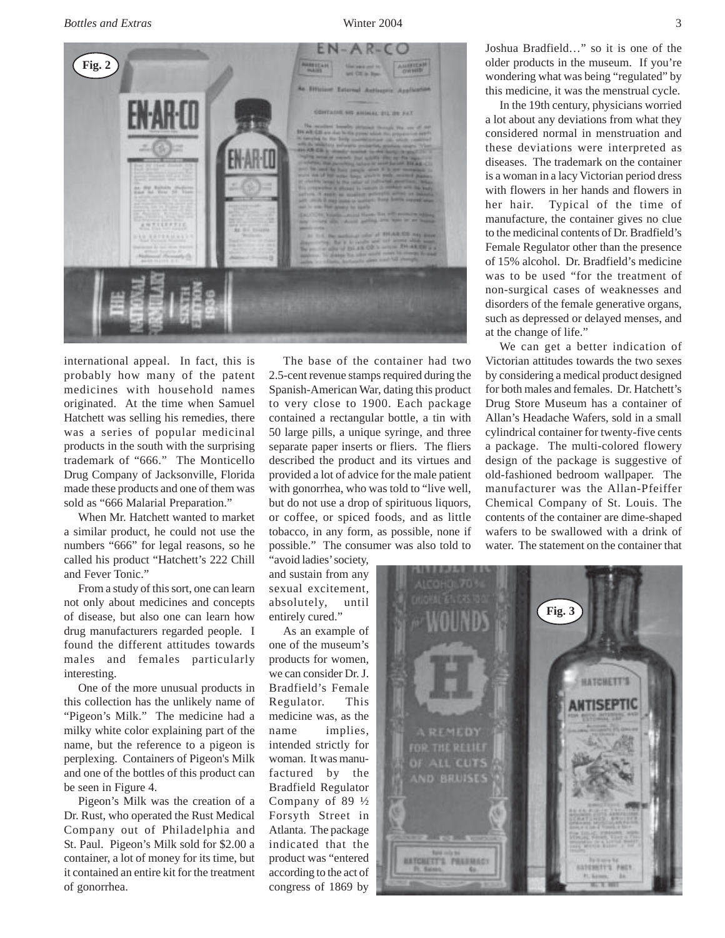*Bottles and Extras* Winter 2004 3



international appeal. In fact, this is probably how many of the patent medicines with household names originated. At the time when Samuel Hatchett was selling his remedies, there was a series of popular medicinal products in the south with the surprising trademark of "666." The Monticello Drug Company of Jacksonville, Florida made these products and one of them was sold as "666 Malarial Preparation."

When Mr. Hatchett wanted to market a similar product, he could not use the numbers "666" for legal reasons, so he called his product "Hatchett's 222 Chill and Fever Tonic."

From a study of this sort, one can learn not only about medicines and concepts of disease, but also one can learn how drug manufacturers regarded people. I found the different attitudes towards males and females particularly interesting.

One of the more unusual products in this collection has the unlikely name of "Pigeon's Milk." The medicine had a milky white color explaining part of the name, but the reference to a pigeon is perplexing. Containers of Pigeon's Milk and one of the bottles of this product can be seen in Figure 4.

Pigeon's Milk was the creation of a Dr. Rust, who operated the Rust Medical Company out of Philadelphia and St. Paul. Pigeon's Milk sold for \$2.00 a container, a lot of money for its time, but it contained an entire kit for the treatment of gonorrhea.

The base of the container had two 2.5-cent revenue stamps required during the Spanish-American War, dating this product to very close to 1900. Each package contained a rectangular bottle, a tin with 50 large pills, a unique syringe, and three separate paper inserts or fliers. The fliers described the product and its virtues and provided a lot of advice for the male patient with gonorrhea, who was told to "live well, but do not use a drop of spirituous liquors, or coffee, or spiced foods, and as little tobacco, in any form, as possible, none if possible." The consumer was also told to

"avoid ladies' society, and sustain from any sexual excitement, absolutely, until entirely cured."

As an example of one of the museum's products for women, we can consider Dr. J. Bradfield's Female Regulator. This medicine was, as the name implies, intended strictly for woman. It was manufactured by the Bradfield Regulator Company of 89 ½ Forsyth Street in Atlanta. The package indicated that the product was "entered according to the act of congress of 1869 by

Joshua Bradfield…" so it is one of the older products in the museum. If you're wondering what was being "regulated" by this medicine, it was the menstrual cycle.

In the 19th century, physicians worried a lot about any deviations from what they considered normal in menstruation and these deviations were interpreted as diseases. The trademark on the container is a woman in a lacy Victorian period dress with flowers in her hands and flowers in her hair. Typical of the time of manufacture, the container gives no clue to the medicinal contents of Dr. Bradfield's Female Regulator other than the presence of 15% alcohol. Dr. Bradfield's medicine was to be used "for the treatment of non-surgical cases of weaknesses and disorders of the female generative organs, such as depressed or delayed menses, and at the change of life."

We can get a better indication of Victorian attitudes towards the two sexes by considering a medical product designed for both males and females. Dr. Hatchett's Drug Store Museum has a container of Allan's Headache Wafers, sold in a small cylindrical container for twenty-five cents a package. The multi-colored flowery design of the package is suggestive of old-fashioned bedroom wallpaper. The manufacturer was the Allan-Pfeiffer Chemical Company of St. Louis. The contents of the container are dime-shaped wafers to be swallowed with a drink of water. The statement on the container that